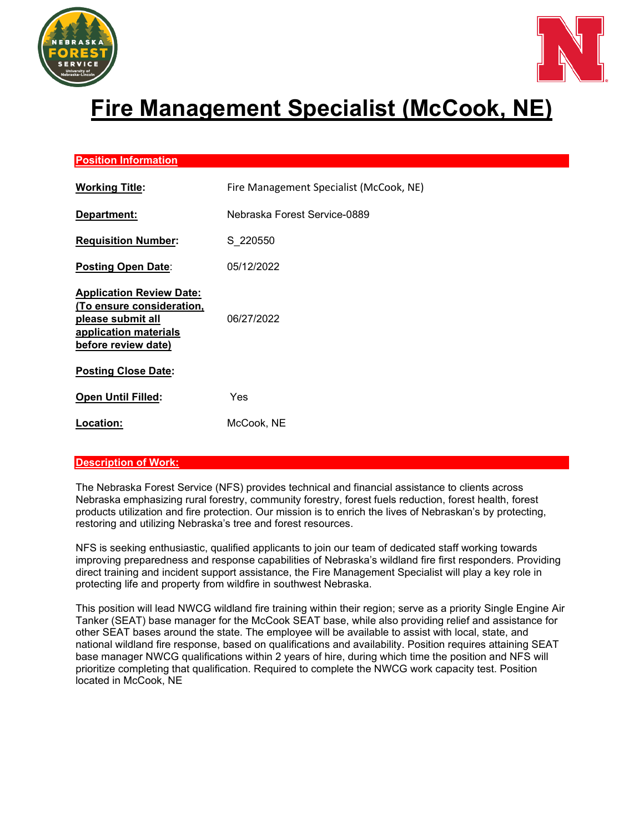



# **Fire Management Specialist (McCook, NE)**

## **Position Information**

| <b>Working Title:</b>                                                                                                             | Fire Management Specialist (McCook, NE) |
|-----------------------------------------------------------------------------------------------------------------------------------|-----------------------------------------|
| Department:                                                                                                                       | Nebraska Forest Service-0889            |
| <b>Requisition Number:</b>                                                                                                        | S 220550                                |
| <b>Posting Open Date:</b>                                                                                                         | 05/12/2022                              |
| <b>Application Review Date:</b><br>(To ensure consideration,<br>please submit all<br>application materials<br>before review date) | 06/27/2022                              |
| <b>Posting Close Date:</b>                                                                                                        |                                         |
| Open Until Filled:                                                                                                                | Yes                                     |
| Location:                                                                                                                         | McCook, NE                              |

### **Description of Work:**

The Nebraska Forest Service (NFS) provides technical and financial assistance to clients across Nebraska emphasizing rural forestry, community forestry, forest fuels reduction, forest health, forest products utilization and fire protection. Our mission is to enrich the lives of Nebraskan's by protecting, restoring and utilizing Nebraska's tree and forest resources.

NFS is seeking enthusiastic, qualified applicants to join our team of dedicated staff working towards improving preparedness and response capabilities of Nebraska's wildland fire first responders. Providing direct training and incident support assistance, the Fire Management Specialist will play a key role in protecting life and property from wildfire in southwest Nebraska.

This position will lead NWCG wildland fire training within their region; serve as a priority Single Engine Air Tanker (SEAT) base manager for the McCook SEAT base, while also providing relief and assistance for other SEAT bases around the state. The employee will be available to assist with local, state, and national wildland fire response, based on qualifications and availability. Position requires attaining SEAT base manager NWCG qualifications within 2 years of hire, during which time the position and NFS will prioritize completing that qualification. Required to complete the NWCG work capacity test. Position located in McCook, NE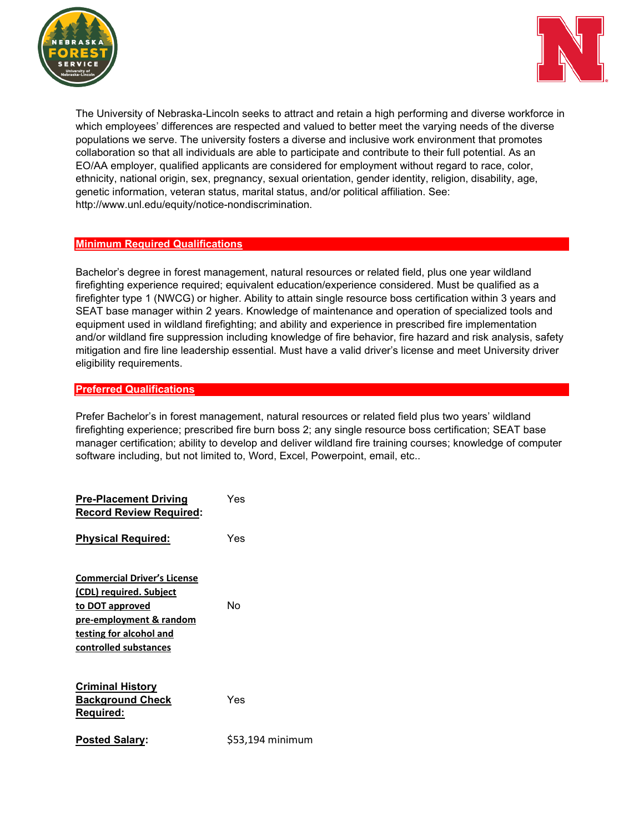



The University of Nebraska-Lincoln seeks to attract and retain a high performing and diverse workforce in which employees' differences are respected and valued to better meet the varying needs of the diverse populations we serve. The university fosters a diverse and inclusive work environment that promotes collaboration so that all individuals are able to participate and contribute to their full potential. As an EO/AA employer, qualified applicants are considered for employment without regard to race, color, ethnicity, national origin, sex, pregnancy, sexual orientation, gender identity, religion, disability, age, genetic information, veteran status, marital status, and/or political affiliation. See: http://www.unl.edu/equity/notice-nondiscrimination.

#### **Minimum Required Qualifications**

Bachelor's degree in forest management, natural resources or related field, plus one year wildland firefighting experience required; equivalent education/experience considered. Must be qualified as a firefighter type 1 (NWCG) or higher. Ability to attain single resource boss certification within 3 years and SEAT base manager within 2 years. Knowledge of maintenance and operation of specialized tools and equipment used in wildland firefighting; and ability and experience in prescribed fire implementation and/or wildland fire suppression including knowledge of fire behavior, fire hazard and risk analysis, safety mitigation and fire line leadership essential. Must have a valid driver's license and meet University driver eligibility requirements.

### **Preferred Qualifications**

Prefer Bachelor's in forest management, natural resources or related field plus two years' wildland firefighting experience; prescribed fire burn boss 2; any single resource boss certification; SEAT base manager certification; ability to develop and deliver wildland fire training courses; knowledge of computer software including, but not limited to, Word, Excel, Powerpoint, email, etc..

| <b>Pre-Placement Driving</b><br><b>Record Review Required:</b>                                                                                                  | Yes              |
|-----------------------------------------------------------------------------------------------------------------------------------------------------------------|------------------|
| <b>Physical Required:</b>                                                                                                                                       | Yes              |
| <b>Commercial Driver's License</b><br>(CDL) required. Subject<br>to DOT approved<br>pre-employment & random<br>testing for alcohol and<br>controlled substances | No               |
| <b>Criminal History</b><br><b>Background Check</b><br>Reguired:                                                                                                 | Yes              |
| <b>Posted Salary:</b>                                                                                                                                           | \$53,194 minimum |